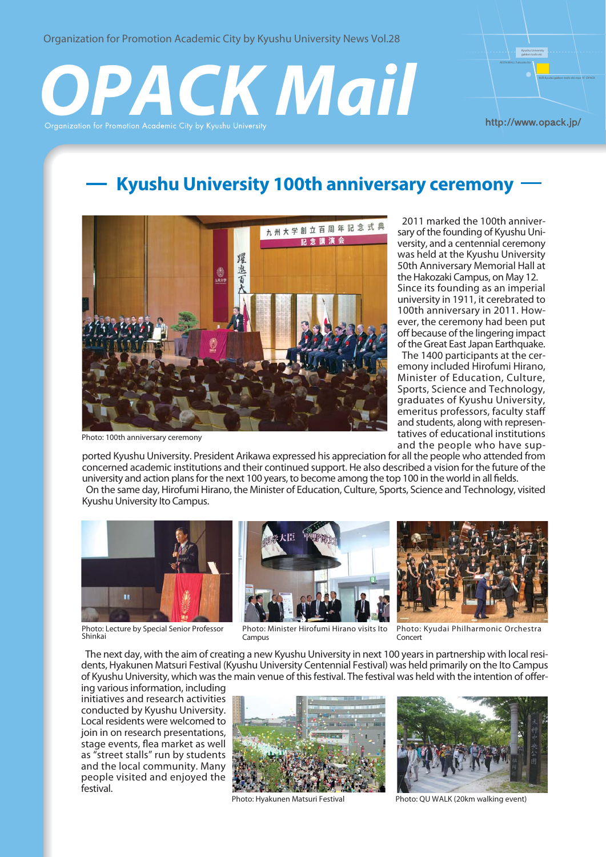Organization for Promotion Academic City by Kyushu University News Vol.28

# **ACK Mail**



# **Kyushu University 100th anniversary ceremony**



Photo: 100th anniversary ceremony

 2011 marked the 100th anniversary of the founding of Kyushu University, and a centennial ceremony was held at the Kyushu University 50th Anniversary Memorial Hall at the Hakozaki Campus, on May 12. Since its founding as an imperial university in 1911, it cerebrated to 100th anniversary in 2011. However, the ceremony had been put off because of the lingering impact of the Great East Japan Earthquake.

 The 1400 participants at the ceremony included Hirofumi Hirano, Minister of Education, Culture, Sports, Science and Technology, graduates of Kyushu University, emeritus professors, faculty staff and students, along with representatives of educational institutions and the people who have sup-

ported Kyushu University. President Arikawa expressed his appreciation for all the people who attended from concerned academic institutions and their continued support. He also described a vision for the future of the university and action plans for the next 100 years, to become among the top 100 in the world in all fields. On the same day, Hirofumi Hirano, the Minister of Education, Culture, Sports, Science and Technology, visited Kyushu University Ito Campus.



Photo: Lecture by Special Senior Professor Shinkai



Photo: Minister Hirofumi Hirano visits Ito Campus



Photo: Kyudai Philharmonic Orchestra Concert

 The next day, with the aim of creating a new Kyushu University in next 100 years in partnership with local residents, Hyakunen Matsuri Festival (Kyushu University Centennial Festival) was held primarily on the Ito Campus of Kyushu University, which was the main venue of this festival. The festival was held with the intention of offer-

ing various information, including initiatives and research activities conducted by Kyushu University. Local residents were welcomed to join in on research presentations, stage events, flea market as well as "street stalls" run by students and the local community. Many people visited and enjoyed the festival.





Photo: Hyakunen Matsuri Festival Photo: QU WALK (20km walking event)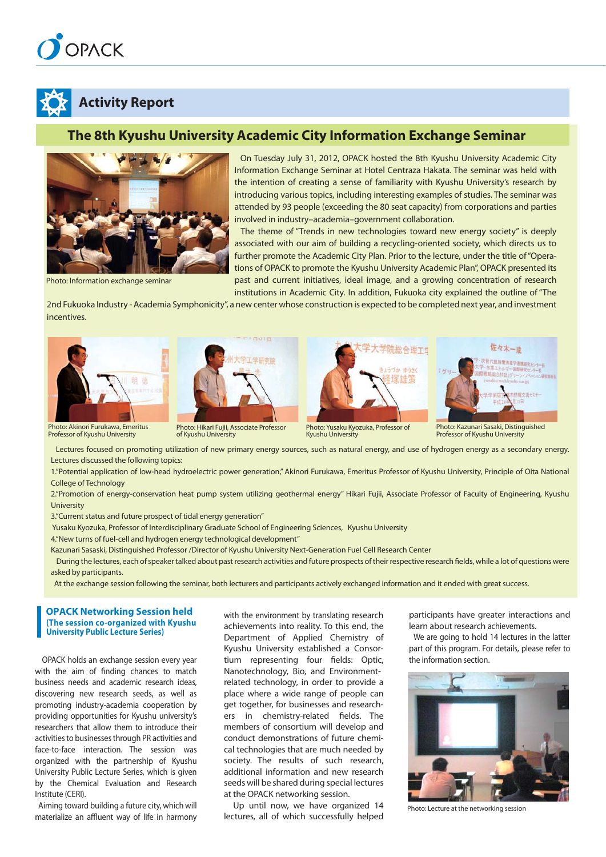# OPACK



# **Activity Report**

# **The 8th Kyushu University Academic City Information Exchange Seminar**



Photo: Information exchange seminar

 On Tuesday July 31, 2012, OPACK hosted the 8th Kyushu University Academic City Information Exchange Seminar at Hotel Centraza Hakata. The seminar was held with the intention of creating a sense of familiarity with Kyushu University's research by introducing various topics, including interesting examples of studies. The seminar was attended by 93 people (exceeding the 80 seat capacity) from corporations and parties involved in industry–academia–government collaboration.

 The theme of "Trends in new technologies toward new energy society" is deeply associated with our aim of building a recycling-oriented society, which directs us to further promote the Academic City Plan. Prior to the lecture, under the title of "Operations of OPACK to promote the Kyushu University Academic Plan", OPACK presented its past and current initiatives, ideal image, and a growing concentration of research institutions in Academic City. In addition, Fukuoka city explained the outline of "The

2nd Fukuoka Industry - Academia Symphonicity", a new center whose construction is expected to be completed next year, and investment incentives.





Photo: Hikari Fujii, Associate Professor of Kyushu University





Photo: Kazunari Sasaki, Distinguished Professor of Kyushu University

 Lectures focused on promoting utilization of new primary energy sources, such as natural energy, and use of hydrogen energy as a secondary energy. Lectures discussed the following topics:

Kyushu University

1."Potential application of low-head hydroelectric power generation," Akinori Furukawa, Emeritus Professor of Kyushu University, Principle of Oita National College of Technology

2."Promotion of energy-conservation heat pump system utilizing geothermal energy" Hikari Fujii, Associate Professor of Faculty of Engineering, Kyushu University

3."Current status and future prospect of tidal energy generation"

Yusaku Kyozuka, Professor of Interdisciplinary Graduate School of Engineering Sciences, Kyushu University

4."New turns of fuel-cell and hydrogen energy technological development"

Kazunari Sasaski, Distinguished Professor /Director of Kyushu University Next-Generation Fuel Cell Research Center

 During the lectures, each of speaker talked about past research activities and future prospects of their respective research fields, while a lot of questions were asked by participants.

At the exchange session following the seminar, both lecturers and participants actively exchanged information and it ended with great success.

#### **OPACK Networking Session held (The session co-organized with Kyushu University Public Lecture Series)**

 OPACK holds an exchange session every year with the aim of finding chances to match business needs and academic research ideas, discovering new research seeds, as well as promoting industry-academia cooperation by providing opportunities for Kyushu university's researchers that allow them to introduce their activities to businesses through PR activities and face-to-face interaction. The session was organized with the partnership of Kyushu University Public Lecture Series, which is given by the Chemical Evaluation and Research Institute (CERI).

 Aiming toward building a future city, which will materialize an affluent way of life in harmony with the environment by translating research achievements into reality. To this end, the Department of Applied Chemistry of Kyushu University established a Consortium representing four fields: Optic, Nanotechnology, Bio, and Environmentrelated technology, in order to provide a place where a wide range of people can get together, for businesses and researchers in chemistry-related fields. The members of consortium will develop and conduct demonstrations of future chemical technologies that are much needed by society. The results of such research, additional information and new research seeds will be shared during special lectures at the OPACK networking session.

 Up until now, we have organized 14 lectures, all of which successfully helped

participants have greater interactions and learn about research achievements.

 We are going to hold 14 lectures in the latter part of this program. For details, please refer to the information section.



Photo: Lecture at the networking session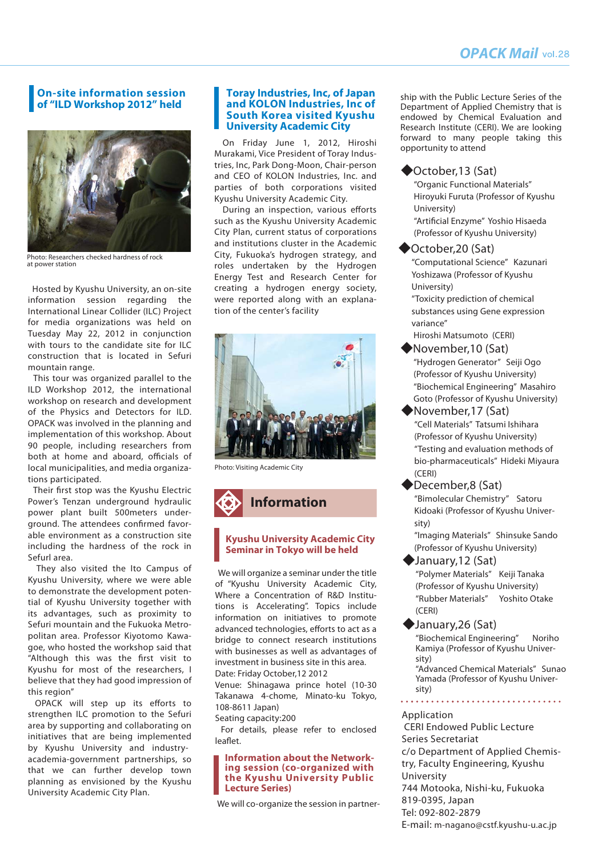#### **On-site information session of "ILD Workshop 2012" held**



Photo: Researchers checked hardness of rock at power station

 Hosted by Kyushu University, an on-site information session regarding the International Linear Collider (ILC) Project for media organizations was held on Tuesday May 22, 2012 in conjunction with tours to the candidate site for ILC construction that is located in Sefuri mountain range.

 This tour was organized parallel to the ILD Workshop 2012, the international workshop on research and development of the Physics and Detectors for ILD. OPACK was involved in the planning and implementation of this workshop. About 90 people, including researchers from both at home and aboard, officials of local municipalities, and media organizations participated.

 Their first stop was the Kyushu Electric Power's Tenzan underground hydraulic power plant built 500meters underground. The attendees confirmed favorable environment as a construction site including the hardness of the rock in Sefurl area.

 They also visited the Ito Campus of Kyushu University, where we were able to demonstrate the development potential of Kyushu University together with its advantages, such as proximity to Sefuri mountain and the Fukuoka Metropolitan area. Professor Kiyotomo Kawagoe, who hosted the workshop said that "Although this was the first visit to Kyushu for most of the researchers, I believe that they had good impression of this region"

 OPACK will step up its efforts to strengthen ILC promotion to the Sefuri area by supporting and collaborating on initiatives that are being implemented by Kyushu University and industryacademia-government partnerships, so that we can further develop town planning as envisioned by the Kyushu University Academic City Plan.

#### **Toray Industries, Inc, of Japan and KOLON Industries, Inc of South Korea visited Kyushu University Academic City**

 On Friday June 1, 2012, Hiroshi Murakami, Vice President of Toray Industries, Inc, Park Dong-Moon, Chair-person and CEO of KOLON Industries, Inc. and parties of both corporations visited Kyushu University Academic City.

 During an inspection, various efforts such as the Kyushu University Academic City Plan, current status of corporations and institutions cluster in the Academic City, Fukuoka's hydrogen strategy, and roles undertaken by the Hydrogen Energy Test and Research Center for creating a hydrogen energy society, were reported along with an explanation of the center's facility



Photo: Visiting Academic City



#### **Kyushu University Academic City Seminar in Tokyo will be held**

 We will organize a seminar under the title of "Kyushu University Academic City, Where a Concentration of R&D Institutions is Accelerating". Topics include information on initiatives to promote advanced technologies, efforts to act as a bridge to connect research institutions with businesses as well as advantages of investment in business site in this area. Date: Friday October,12 2012

Venue: Shinagawa prince hotel (10-30 Takanawa 4-chome, Minato-ku Tokyo, 108-8611 Japan)

Seating capacity:200

 For details, please refer to enclosed leaflet.

#### **Information about the Networking session (co-organized with the Kyushu University Public Lecture Series)**

We will co-organize the session in partner-

ship with the Public Lecture Series of the Department of Applied Chemistry that is endowed by Chemical Evaluation and Research Institute (CERI). We are looking forward to many people taking this opportunity to attend

#### ◆October,13 (Sat)

"Organic Functional Materials" Hiroyuki Furuta (Professor of Kyushu University) "Artificial Enzyme" Yoshio Hisaeda

(Professor of Kyushu University)

#### ◆October,20 (Sat)

"Computational Science" Kazunari Yoshizawa (Professor of Kyushu University)

"Toxicity prediction of chemical substances using Gene expression variance"

Hiroshi Matsumoto (CERI)

- "Hydrogen Generator" Seiji Ogo (Professor of Kyushu University) "Biochemical Engineering" Masahiro Goto (Professor of Kyushu University) ◆November,10 (Sat)
- "Cell Materials" Tatsumi Ishihara (Professor of Kyushu University) "Testing and evaluation methods of bio-pharmaceuticals" Hideki Miyaura (CERI) ◆November,17 (Sat)
- "Bimolecular Chemistry" Satoru Kidoaki (Professor of Kyushu University) ◆December,8 (Sat)

"Imaging Materials" Shinsuke Sando (Professor of Kyushu University)

# ◆January,12 (Sat)

"Polymer Materials" Keiji Tanaka (Professor of Kyushu University) "Rubber Materials" Yoshito Otake (CERI)

◆January,26 (Sat)

"Biochemical Engineering" Noriho Kamiya (Professor of Kyushu University)

"Advanced Chemical Materials" Sunao Yamada (Professor of Kyushu University)

#### Application

 CERI Endowed Public Lecture Series Secretariat c/o Department of Applied Chemistry, Faculty Engineering, Kyushu University 744 Motooka, Nishi-ku, Fukuoka 819-0395, Japan Tel: 092-802-2879 E-mail: m-nagano@cstf.kyushu-u.ac.jp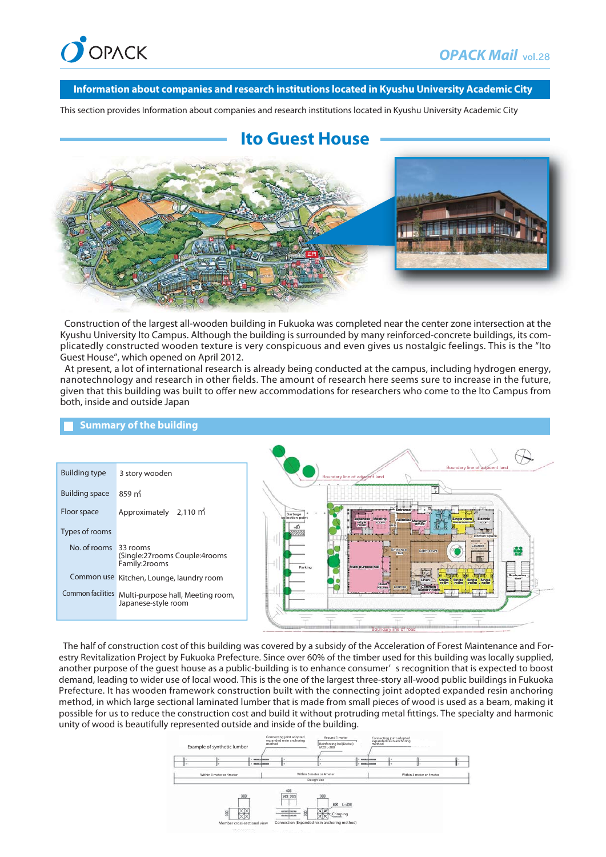

#### **Information about companies and research institutions located in Kyushu University Academic City**

This section provides Information about companies and research institutions located in Kyushu University Academic City

# **Ito Guest House**



 Construction of the largest all-wooden building in Fukuoka was completed near the center zone intersection at the Kyushu University Ito Campus. Although the building is surrounded by many reinforced-concrete buildings, its complicatedly constructed wooden texture is very conspicuous and even gives us nostalgic feelings. This is the "Ito Guest House", which opened on April 2012.

 At present, a lot of international research is already being conducted at the campus, including hydrogen energy, nanotechnology and research in other fields. The amount of research here seems sure to increase in the future, given that this building was built to offer new accommodations for researchers who come to the Ito Campus from both, inside and outside Japan



#### **Summary of the building**

 The half of construction cost of this building was covered by a subsidy of the Acceleration of Forest Maintenance and Forestry Revitalization Project by Fukuoka Prefecture. Since over 60% of the timber used for this building was locally supplied, another purpose of the guest house as a public-building is to enhance consumer' s recognition that is expected to boost demand, leading to wider use of local wood. This is the one of the largest three-story all-wood public buildings in Fukuoka Prefecture. It has wooden framework construction built with the connecting joint adopted expanded resin anchoring method, in which large sectional laminated lumber that is made from small pieces of wood is used as a beam, making it possible for us to reduce the construction cost and build it without protruding metal fittings. The specialty and harmonic unity of wood is beautifully represented outside and inside of the building.

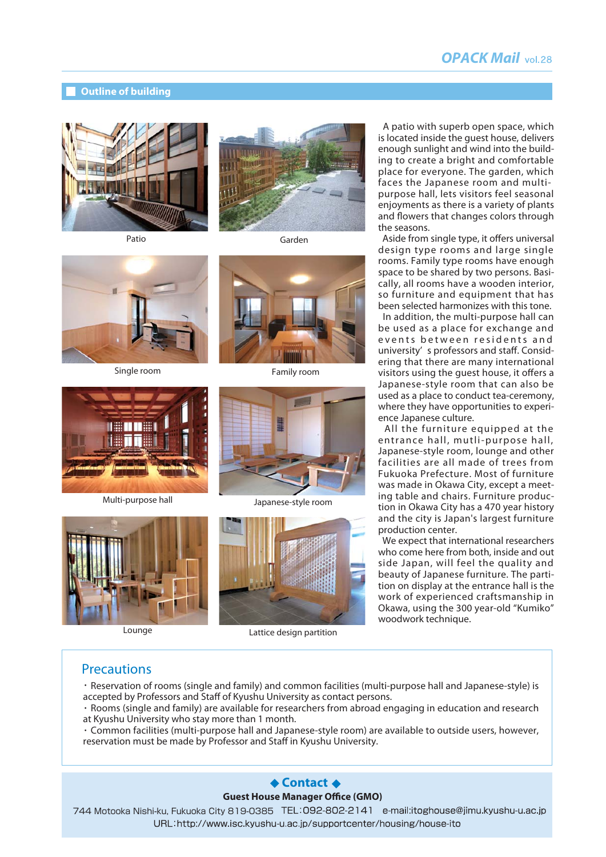# *OPACK Mail*

#### **Outline of building**









Multi-purpose hall Japanese-style room







Lounge Lattice design partition

 A patio with superb open space, which is located inside the guest house, delivers enough sunlight and wind into the building to create a bright and comfortable place for everyone. The garden, which faces the Japanese room and multipurpose hall, lets visitors feel seasonal enjoyments as there is a variety of plants and flowers that changes colors through the seasons.

 Aside from single type, it offers universal design type rooms and large single rooms. Family type rooms have enough space to be shared by two persons. Basically, all rooms have a wooden interior, so furniture and equipment that has been selected harmonizes with this tone.

 In addition, the multi-purpose hall can be used as a place for exchange and events between residents and university' s professors and staff. Considering that there are many international visitors using the guest house, it offers a Japanese-style room that can also be used as a place to conduct tea-ceremony, where they have opportunities to experience Japanese culture.

 All the furniture equipped at the entrance hall, mutli-purpose hall, Japanese-style room, lounge and other facilities are all made of trees from Fukuoka Prefecture. Most of furniture was made in Okawa City, except a meeting table and chairs. Furniture production in Okawa City has a 470 year history and the city is Japan's largest furniture production center.

 We expect that international researchers who come here from both, inside and out side Japan, will feel the quality and beauty of Japanese furniture. The partition on display at the entrance hall is the work of experienced craftsmanship in Okawa, using the 300 year-old "Kumiko" woodwork technique.

#### **Precautions**

・Reservation of rooms (single and family) and common facilities (multi-purpose hall and Japanese-style) is accepted by Professors and Staff of Kyushu University as contact persons.

- ・Rooms (single and family) are available for researchers from abroad engaging in education and research at Kyushu University who stay more than 1 month.
- ・Common facilities (multi-purpose hall and Japanese-style room) are available to outside users, however, reservation must be made by Professor and Staff in Kyushu University.

#### **Exercit ←**

#### **Guest House Manager Office (GMO)**

744 Motooka Nishi-ku, Fukuoka City 819-0385URL:http://www.isc.kyushu-u.ac.jp/supportcenter/housing/house-ito